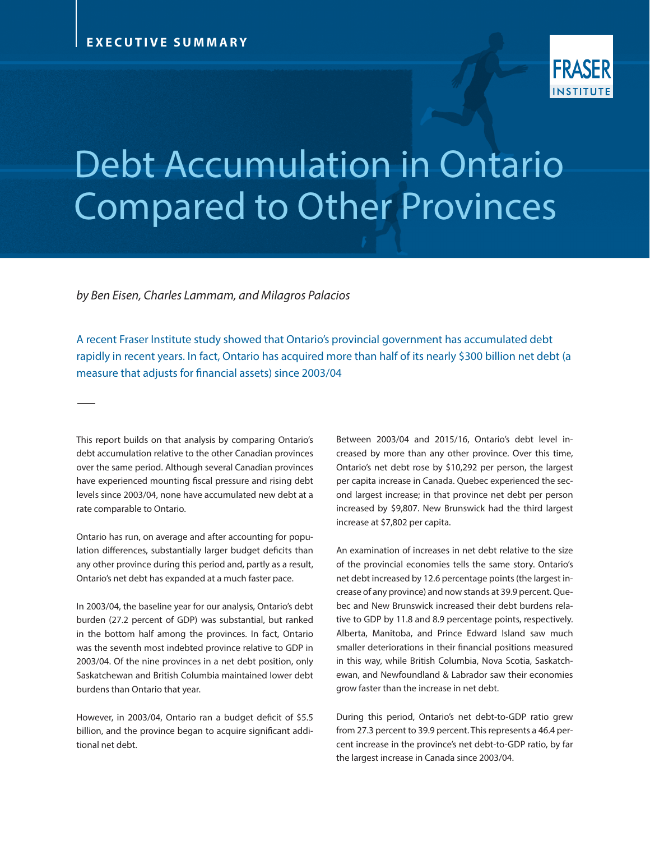

## Debt Accumulation in Ontario Compared to Other Provinces

*by Ben Eisen, Charles Lammam, and Milagros Palacios*

A recent Fraser Institute study showed that Ontario's provincial government has accumulated debt rapidly in recent years. In fact, Ontario has acquired more than half of its nearly \$300 billion net debt (a measure that adjusts for financial assets) since 2003/04

This report builds on that analysis by comparing Ontario's debt accumulation relative to the other Canadian provinces over the same period. Although several Canadian provinces have experienced mounting fiscal pressure and rising debt levels since 2003/04, none have accumulated new debt at a rate comparable to Ontario.

Ontario has run, on average and after accounting for population differences, substantially larger budget deficits than any other province during this period and, partly as a result, Ontario's net debt has expanded at a much faster pace.

In 2003/04, the baseline year for our analysis, Ontario's debt burden (27.2 percent of GDP) was substantial, but ranked in the bottom half among the provinces. In fact, Ontario was the seventh most indebted province relative to GDP in 2003/04. Of the nine provinces in a net debt position, only Saskatchewan and British Columbia maintained lower debt burdens than Ontario that year.

However, in 2003/04, Ontario ran a budget deficit of \$5.5 billion, and the province began to acquire significant additional net debt.

Between 2003/04 and 2015/16, Ontario's debt level increased by more than any other province. Over this time, Ontario's net debt rose by \$10,292 per person, the largest per capita increase in Canada. Quebec experienced the second largest increase; in that province net debt per person increased by \$9,807. New Brunswick had the third largest increase at \$7,802 per capita.

An examination of increases in net debt relative to the size of the provincial economies tells the same story. Ontario's net debt increased by 12.6 percentage points (the largest increase of any province) and now stands at 39.9 percent. Quebec and New Brunswick increased their debt burdens relative to GDP by 11.8 and 8.9 percentage points, respectively. Alberta, Manitoba, and Prince Edward Island saw much smaller deteriorations in their financial positions measured in this way, while British Columbia, Nova Scotia, Saskatchewan, and Newfoundland & Labrador saw their economies grow faster than the increase in net debt.

During this period, Ontario's net debt-to-GDP ratio grew from 27.3 percent to 39.9 percent. This represents a 46.4 percent increase in the province's net debt-to-GDP ratio, by far the largest increase in Canada since 2003/04.